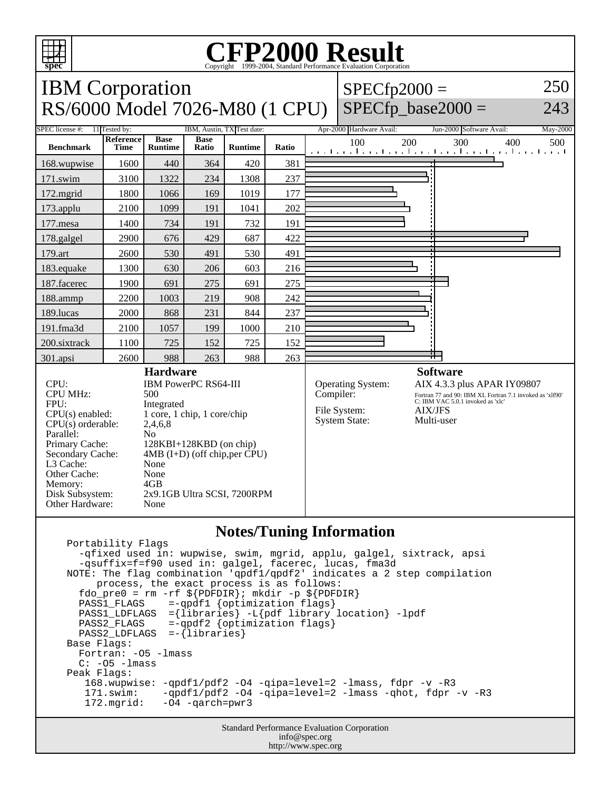

## **CFP2000 Result** Copyright 1999-2004, Standard Performance Evaluation Corporation



## **Notes/Tuning Information**

 Portability Flags -qfixed used in: wupwise, swim, mgrid, applu, galgel, sixtrack, apsi -qsuffix=f=f90 used in: galgel, facerec, lucas, fma3d NOTE: The flag combination 'qpdf1/qpdf2' indicates a 2 step compilation process, the exact process is as follows:  $fdo\_pre0 = rm -rf$   $\{PDFDIR\}$ ; mkdir -p  $\S{PDFDIR}$  PASS1\_FLAGS =-qpdf1 {optimization flags} PASS1\_LDFLAGS ={libraries} -L{pdf library location} -lpdf  $=$ -qpdf2 {optimization flags} PASS2 LDFLAGS =-{libraries} Base Flags: Fortran: -O5 -lmass  $C: -05 -l$ mass Peak Flags: 168.wupwise: -qpdf1/pdf2 -O4 -qipa=level=2 -lmass, fdpr -v -R3 171.swim: -qpdf1/pdf2 -O4 -qipa=level=2 -lmass -qhot, fdpr -v -R3 172.mgrid: -O4 -qarch=pwr3

> Standard Performance Evaluation Corporation info@spec.org http://www.spec.org